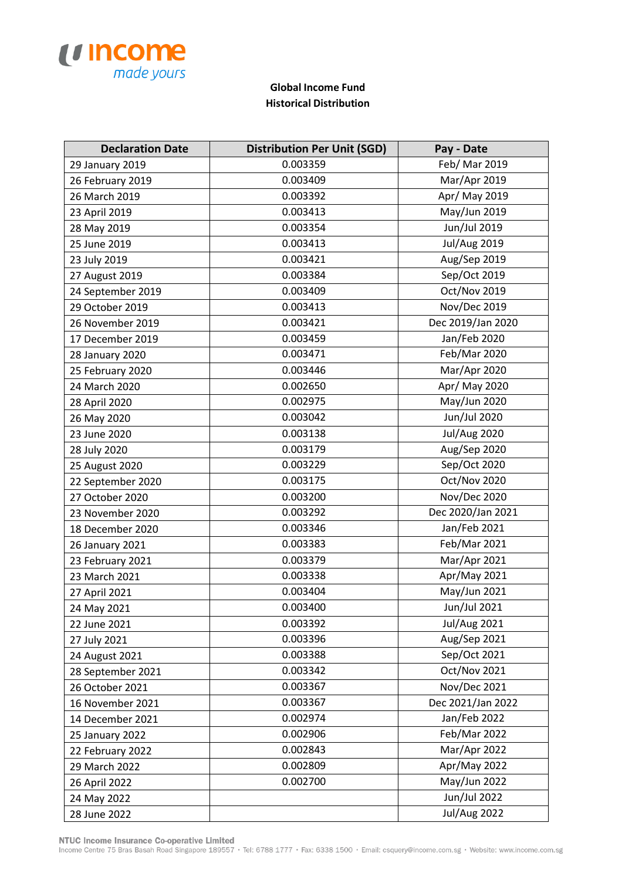

## **Global Income Fund Historical Distribution**

| <b>Declaration Date</b> | <b>Distribution Per Unit (SGD)</b> | Pay - Date          |
|-------------------------|------------------------------------|---------------------|
| 29 January 2019         | 0.003359                           | Feb/ Mar 2019       |
| 26 February 2019        | 0.003409                           | Mar/Apr 2019        |
| 26 March 2019           | 0.003392                           | Apr/ May 2019       |
| 23 April 2019           | 0.003413                           | May/Jun 2019        |
| 28 May 2019             | 0.003354                           | Jun/Jul 2019        |
| 25 June 2019            | 0.003413                           | <b>Jul/Aug 2019</b> |
| 23 July 2019            | 0.003421                           | Aug/Sep 2019        |
| 27 August 2019          | 0.003384                           | Sep/Oct 2019        |
| 24 September 2019       | 0.003409                           | Oct/Nov 2019        |
| 29 October 2019         | 0.003413                           | Nov/Dec 2019        |
| 26 November 2019        | 0.003421                           | Dec 2019/Jan 2020   |
| 17 December 2019        | 0.003459                           | Jan/Feb 2020        |
| 28 January 2020         | 0.003471                           | Feb/Mar 2020        |
| 25 February 2020        | 0.003446                           | Mar/Apr 2020        |
| 24 March 2020           | 0.002650                           | Apr/ May 2020       |
| 28 April 2020           | 0.002975                           | May/Jun 2020        |
| 26 May 2020             | 0.003042                           | Jun/Jul 2020        |
| 23 June 2020            | 0.003138                           | <b>Jul/Aug 2020</b> |
| 28 July 2020            | 0.003179                           | Aug/Sep 2020        |
| 25 August 2020          | 0.003229                           | Sep/Oct 2020        |
| 22 September 2020       | 0.003175                           | Oct/Nov 2020        |
| 27 October 2020         | 0.003200                           | <b>Nov/Dec 2020</b> |
| 23 November 2020        | 0.003292                           | Dec 2020/Jan 2021   |
| 18 December 2020        | 0.003346                           | Jan/Feb 2021        |
| 26 January 2021         | 0.003383                           | Feb/Mar 2021        |
| 23 February 2021        | 0.003379                           | Mar/Apr 2021        |
| 23 March 2021           | 0.003338                           | Apr/May 2021        |
| 27 April 2021           | 0.003404                           | May/Jun 2021        |
| 24 May 2021             | 0.003400                           | Jun/Jul 2021        |
| 22 June 2021            | 0.003392                           | <b>Jul/Aug 2021</b> |
| 27 July 2021            | 0.003396                           | Aug/Sep 2021        |
| 24 August 2021          | 0.003388                           | Sep/Oct 2021        |
| 28 September 2021       | 0.003342                           | Oct/Nov 2021        |
| 26 October 2021         | 0.003367                           | Nov/Dec 2021        |
| 16 November 2021        | 0.003367                           | Dec 2021/Jan 2022   |
| 14 December 2021        | 0.002974                           | Jan/Feb 2022        |
| 25 January 2022         | 0.002906                           | Feb/Mar 2022        |
| 22 February 2022        | 0.002843                           | Mar/Apr 2022        |
| 29 March 2022           | 0.002809                           | Apr/May 2022        |
| 26 April 2022           | 0.002700                           | May/Jun 2022        |
| 24 May 2022             |                                    | Jun/Jul 2022        |
| 28 June 2022            |                                    | <b>Jul/Aug 2022</b> |